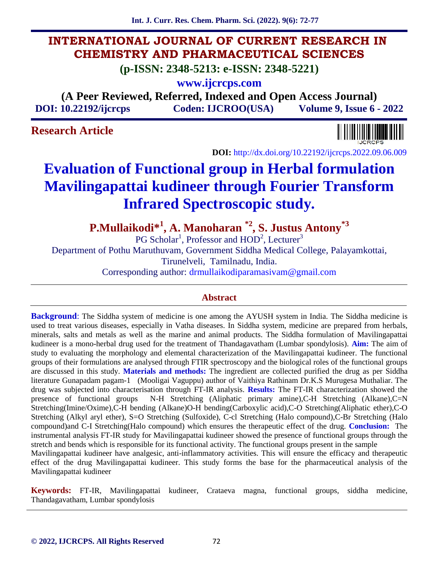**Int. J. Curr. Res. Chem. Pharm. Sci. (2022). 9(6): 72-77**

# **INTERNATIONAL JOURNAL OF CURRENT RESEARCH IN CHEMISTRY AND PHARMACEUTICAL SCIENCES**

**(p-ISSN: 2348-5213: e-ISSN: 2348-5221)**

**www.ijcrcps.com**

**(A Peer Reviewed, Referred, Indexed and Open Access Journal) DOI: 10.22192/ijcrcps Coden: IJCROO(USA) Volume 9, Issue 6 - 2022**

# **Research Article**



**DOI:** http://dx.doi.org/10.22192/ijcrcps.2022.09.06.009

# **Evaluation of Functional group in Herbal formulation Mavilingapattai kudineer through Fourier Transform Infrared Spectroscopic study.**

**P.Mullaikodi\*<sup>1</sup> , A. Manoharan \*2, S. Justus Antony\*3**

PG Scholar<sup>1</sup>, Professor and  $HOD^2$ , Lecturer<sup>3</sup>

Department of Pothu Maruthuvam, Government Siddha Medical College, Palayamkottai,

Tirunelveli, Tamilnadu, India.

Corresponding author: drmullaikodiparamasivam@gmail.com

## **Abstract**

**Background**: The Siddha system of medicine is one among the AYUSH system in India. The Siddha medicine is used to treat various diseases, especially in Vatha diseases. In Siddha system, medicine are prepared from herbals, minerals, salts and metals as well as the marine and animal products. The Siddha formulation of Mavilingapattai kudineer is a mono-herbal drug used for the treatment of Thandagavatham (Lumbar spondylosis). **Aim:** The aim of study to evaluating the morphology and elemental characterization of the Mavilingapattai kudineer. The functional groups of their formulations are analysed through FTIR spectroscopy and the biological roles of the functional groups are discussed in this study. **Materials and methods:** The ingredient are collected purified the drug as per Siddha literature Gunapadam pagam-1 (Mooligai Vaguppu) author of Vaithiya Rathinam Dr.K.S Murugesa Muthaliar. The drug was subjected into characterisation through FT-IR analysis. **Results:** The FT-IR characterization showed the presence of functional groups N-H Stretching (Aliphatic primary amine),C-H Stretching (Alkane),C=N Stretching(Imine/Oxime),C-H bending (Alkane)O-H bending(Carboxylic acid),C-O Stretching(Aliphatic ether),C-O Stretching (Alkyl aryl ether), S=O Stretching (Sulfoxide), C-cl Stretching (Halo compound),C-Br Stretching (Halo compound)and C-I Stretching(Halo compound) which ensures the therapeutic effect of the drug. **Conclusion:** The instrumental analysis FT-IR study for Mavilingapattai kudineer showed the presence of functional groups through the stretch and bends which is responsible for its functional activity. The functional groups present in the sample Mavilingapattai kudineer have analgesic, anti-inflammatory activities. This will ensure the efficacy and therapeutic effect of the drug Mavilingapattai kudineer. This study forms the base for the pharmaceutical analysis of the

**Keywords:** FT-IR, Mavilingapattai kudineer, Crataeva magna, functional groups, siddha medicine, Thandagavatham, Lumbar spondylosis

Mavilingapattai kudineer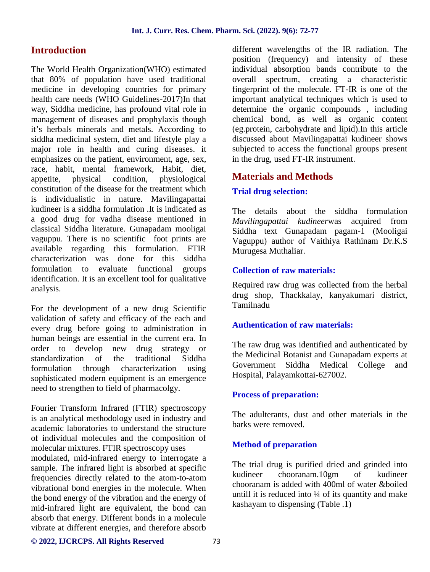## **Introduction**

The World Health Organization(WHO) estimated that 80% of population have used traditional medicine in developing countries for primary health care needs (WHO Guidelines-2017)In that way, Siddha medicine, has profound vital role in management of diseases and prophylaxis though it's herbals minerals and metals. According to siddha medicinal system, diet and lifestyle play a major role in health and curing diseases. it emphasizes on the patient, environment, age, sex, race, habit, mental framework, Habit, diet, appetite, physical condition, physiological constitution of the disease for the treatment which is individualistic in nature. Mavilingapattai kudineer is a siddha formulation .It is indicated as a good drug for vadha disease mentioned in classical Siddha literature. Gunapadam mooligai vaguppu. There is no scientific foot prints are available regarding this formulation. FTIR characterization was done for this siddha formulation to evaluate functional groups identification. It is an excellent tool for qualitative analysis.

For the development of a new drug Scientific validation of safety and efficacy of the each and every drug before going to administration in human beings are essential in the current era. In order to develop new drug strategy or<br>standardization of the traditional Siddha standardization of the formulation through characterization using sophisticated modern equipment is an emergence need to strengthen to field of pharmacolgy.

Fourier Transform Infrared (FTIR) spectroscopy is an analytical methodology used in industry and academic laboratories to understand the structure of individual molecules and the composition of molecular mixtures. FTIR spectroscopy uses modulated, mid-infrared energy to interrogate a sample. The infrared light is absorbed at specific The trial frequencies directly related to the atom-to-atom vibrational bond energies in the molecule. When the bond energy of the vibration and the energy of mid-infrared light are equivalent, the bond can absorb that energy. Different bonds in a molecule vibrate at different energies, and therefore absorb

different wavelengths of the IR radiation. The position (frequency) and intensity of these individual absorption bands contribute to the overall spectrum, creating a characteristic fingerprint of the molecule. FT-IR is one of the important analytical techniques which is used to determine the organic compounds , including chemical bond, as well as organic content (eg.protein, carbohydrate and lipid).In this article discussed about Mavilingapattai kudineer shows subjected to access the functional groups present in the drug, used FT-IR instrument.

## **Materials and Methods**

## **Trial drug selection:**

The details about the siddha formulation *Mavilingapattai kudineer*was acquired from Siddha text Gunapadam pagam-1 (Mooligai Vaguppu) author of Vaithiya Rathinam Dr.K.S Murugesa Muthaliar.

## **Collection of raw materials:**

Required raw drug was collected from the herbal drug shop, Thackkalay, kanyakumari district, Tamilnadu

## **Authentication of raw materials:**

The raw drug was identified and authenticated by the Medicinal Botanist and Gunapadam experts at Government Siddha Medical College and Hospital, Palayamkottai-627002.

## **Process of preparation:**

The adulterants, dust and other materials in the barks were removed.

## **Method of preparation**

The trial drug is purified dried and grinded into kudineer chooranam.10gm of kudineer chooranam is added with 400ml of water &boiled untill it is reduced into  $\frac{1}{4}$  of its quantity and make kashayam to dispensing (Table .1)

#### **© 2022, IJCRCPS. All Rights Reserved** 73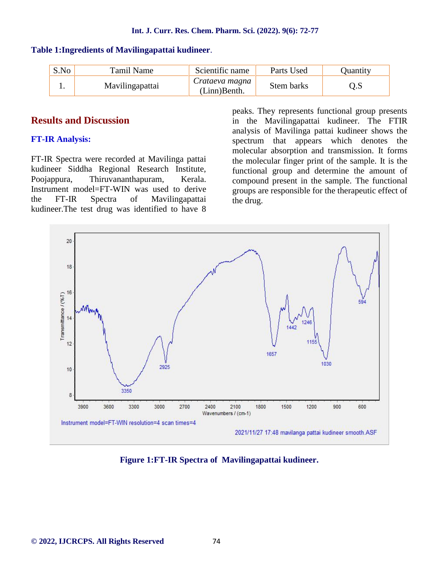| S.No | Tamil Name      | Scientific name                   | Parts Used | Ouantity |
|------|-----------------|-----------------------------------|------------|----------|
|      | Mavilingapattai | Crataeva magna<br>$(Linn)$ Benth. | Stem barks |          |

#### **Table 1:Ingredients of Mavilingapattai kudineer**.

## **Results and Discussion**

## **FT-IR Analysis:**

FT-IR Spectra were recorded at Mavilinga pattai kudineer Siddha Regional Research Institute, Poojappura, Thiruvananthapuram, Kerala. Instrument model=FT-WIN was used to derive the FT-IR Spectra of Mavilingapattai kudineer.The test drug was identified to have 8

peaks. They represents functional group presents in the Mavilingapattai kudineer. The FTIR analysis of Mavilinga pattai kudineer shows the spectrum that appears which denotes the molecular absorption and transmission. It forms the molecular finger print of the sample. It is the functional group and determine the amount of compound present in the sample. The functional groups are responsible for the therapeutic effect of the drug.



**Figure 1:FT-IR Spectra of Mavilingapattai kudineer.**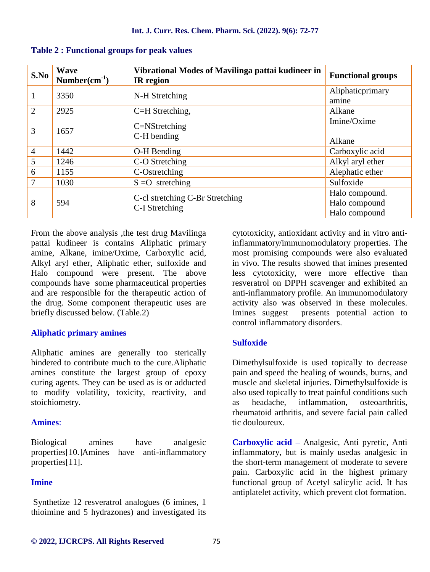| S.No           | Wave<br>$Number(cm^{-1})$ | Vibrational Modes of Mavilinga pattai kudineer in<br><b>IR</b> region | <b>Functional groups</b>                         |
|----------------|---------------------------|-----------------------------------------------------------------------|--------------------------------------------------|
|                | 3350                      | N-H Stretching                                                        | Aliphaticprimary<br>amine                        |
| 2              | 2925                      | C=H Stretching,                                                       | Alkane                                           |
| 3              | 1657                      | $C=$ NStretching<br>C-H bending                                       | Imine/Oxime<br>Alkane                            |
| $\overline{4}$ | 1442                      | O-H Bending                                                           | Carboxylic acid                                  |
| 5              | 1246                      | C-O Stretching                                                        | Alkyl aryl ether                                 |
| 6              | 1155                      | C-Ostretching                                                         | Alephatic ether                                  |
| 7              | 1030                      | $S = O$ stretching                                                    | Sulfoxide                                        |
| 8              | 594                       | C-cl stretching C-Br Stretching<br>C-I Stretching                     | Halo compound.<br>Halo compound<br>Halo compound |

#### **Table 2 : Functional groups for peak values**

From the above analysis ,the test drug Mavilinga pattai kudineer is contains Aliphatic primary amine, Alkane, imine/Oxime, Carboxylic acid, Alkyl aryl ether, Aliphatic ether, sulfoxide and Halo compound were present. The above compounds have some pharmaceutical properties and are responsible for the therapeutic action of the drug. Some component therapeutic uses are briefly discussed below. (Table.2)

## **Aliphatic primary amines**

Aliphatic amines are generally too sterically hindered to contribute much to the cure.Aliphatic amines constitute the largest group of epoxy curing agents. They can be used as is or adducted to modify volatility, toxicity, reactivity, and stoichiometry.

## **Amines**:

Biological amines have analgesic properties[10.]Amines have anti-inflammatory properties[11].

## **Imine**

Synthetize 12 resveratrol analogues (6 imines, 1 thioimine and 5 hydrazones) and investigated its cytotoxicity, antioxidant activity and in vitro antiinflammatory/immunomodulatory properties. The most promising compounds were also evaluated in vivo. The results showed that imines presented less cytotoxicity, were more effective than resveratrol on DPPH scavenger and exhibited an anti-inflammatory profile. An immunomodulatory activity also was observed in these molecules. Imines suggest presents potential action to control inflammatory disorders.

## **Sulfoxide**

Dimethylsulfoxide is used topically to decrease pain and speed the healing of wounds, burns, and muscle and skeletal injuries. Dimethylsulfoxide is also used topically to treat painful conditions such as headache, inflammation, osteoarthritis, rheumatoid arthritis, and severe facial pain called tic douloureux.

**Carboxylic acid** – Analgesic, Anti pyretic, Anti inflammatory, but is mainly usedas analgesic in the short-term management of moderate to severe pain. Carboxylic acid in the highest primary functional group of Acetyl salicylic acid. It has antiplatelet activity, which prevent clot formation.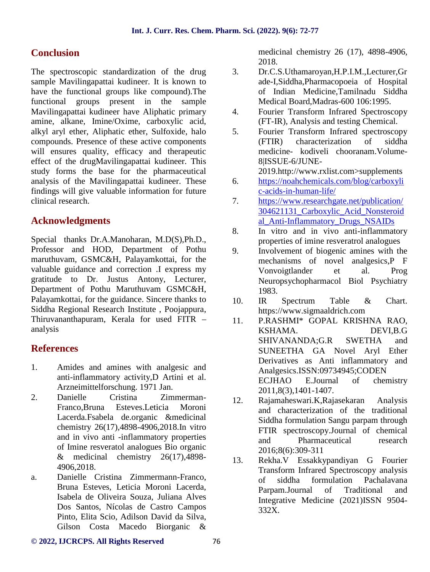# **Conclusion**

The spectroscopic standardization of the drug 3. sample Mavilingapattai kudineer. It is known to have the functional groups like compound).The functional groups present in the sample Mavilingapattai kudineer have Aliphatic primary amine, alkane, Imine/Oxime, carboxylic acid, alkyl aryl ether, Aliphatic ether, Sulfoxide, halo compounds. Presence of these active components will ensures quality, efficacy and therapeutic effect of the drugMavilingapattai kudineer. This study forms the base for the pharmaceutical analysis of the Mavilingapattai kudineer. These findings will give valuable information for future clinical research.

# **Acknowledgments**

Special thanks Dr.A.Manoharan, M.D(S),Ph.D., Professor and HOD, Department of Pothu maruthuvam, GSMC&H, Palayamkottai, for the valuable guidance and correction .I express my gratitude to Dr. Justus Antony, Lecturer, Department of Pothu Maruthuvam GSMC&H, Palayamkottai, for the guidance. Sincere thanks to 10. Siddha Regional Research Institute , Poojappura, Thiruvananthapuram, Kerala for used FITR – analysis

# **References**

- 1. Amides and amines with analgesic and anti-inflammatory activity,D Artini et al. Arzneimittelforschung. 1971 Jan.
- 2. Danielle Cristina Zimmerman- Franco,Bruna Esteves.Leticia Moroni Lacerda.Fsabela de.organic &medicinal chemistry 26(17),4898-4906,2018.In vitro and in vivo anti -inflammatory properties of Imine resveratol analogues Bio organic & medicinal chemistry  $26(17)$ , 4898-4906,2018.
- a. Danielle Cristina Zimmermann-Franco, Bruna Esteves, Leticia Moroni Lacerda, Isabela de Oliveira Souza, Juliana Alves Dos Santos, Nícolas de Castro Campos Pinto, Elita Scio, Adilson David da Silva, Gilson Costa Macedo Biorganic &

medicinal chemistry 26 (17), 4898-4906, 2018.

- 3. Dr.C.S.Uthamaroyan,H.P.I.M.,Lecturer,Gr ade-I,Siddha,Pharmacopoeia of Hospital of Indian Medicine,Tamilnadu Siddha Medical Board,Madras-600 106:1995.
- 4. Fourier Transform Infrared Spectroscopy (FT-IR), Analysis and testing Chemical.
- 5. Fourier Transform Infrared spectroscopy (FTIR) characterization of siddha medicine- kodiveli chooranam.Volume- 8|ISSUE-6/JUNE-

2019.http://www.rxlist.com>supplements

- 6. https://noahchemicals.com/blog/carboxyli c-acids-in-human-life/
- 7. https://www.researchgate.net/publication/ 304621131\_Carboxylic\_Acid\_Nonsteroid al\_Anti-Inflammatory\_Drugs\_NSAIDs
- 8. In vitro and in vivo anti-inflammatory properties of imine resveratrol analogues
- 9. Involvement of biogenic amines with the mechanisms of novel analgesics,P F Vonvoigtlander et al. Prog Neuropsychopharmacol Biol Psychiatry 1983.
- 10. IR Spectrum Table & Chart. https://www.sigmaaldrich.com
- P.RASHMI\* GOPAL KRISHNA RAO, KSHAMA. DEVI,B.G SHIVANANDA;G.R SWETHA and SUNEETHA GA Novel Aryl Ether Derivatives as Anti inflammatory and Analgesics.ISSN:09734945;CODEN ECJHAO E.Journal of chemistry 2011,8(3),1401-1407.
- 12. Rajamaheswari.K,Rajasekaran Analysis and characterization of the traditional Siddha formulation Sangu parpam through FTIR spectroscopy.Journal of chemical and Pharmaceutical research 2016;8(6):309-311
- 13. Rekha.V Essakkypandiyan G Fourier Transform Infrared Spectroscopy analysis of siddha formulation Pachalavana Parpam.Journal of Traditional and Integrative Medicine (2021)ISSN 9504- 332X.